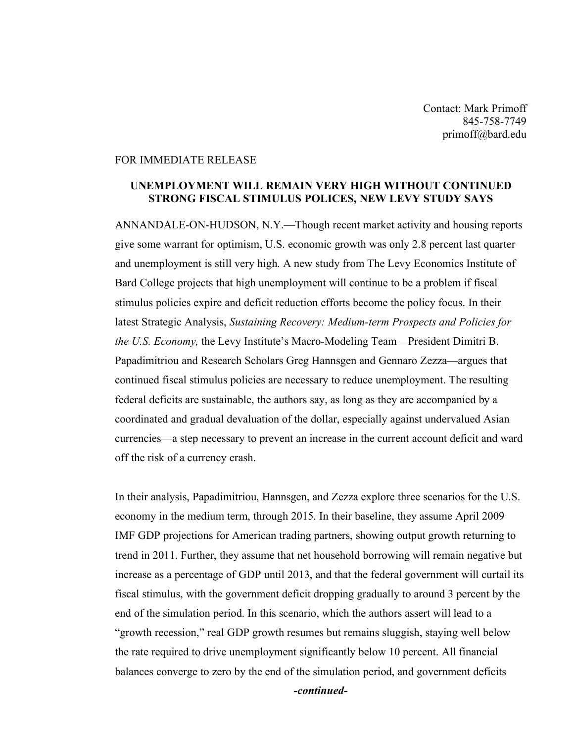Contact: Mark Primoff 845-758-7749 primoff@bard.edu

## FOR IMMEDIATE RELEASE

## **UNEMPLOYMENT WILL REMAIN VERY HIGH WITHOUT CONTINUED STRONG FISCAL STIMULUS POLICES, NEW LEVY STUDY SAYS**

ANNANDALE-ON-HUDSON, N.Y.—Though recent market activity and housing reports give some warrant for optimism, U.S. economic growth was only 2.8 percent last quarter and unemployment is still very high. A new study from The Levy Economics Institute of Bard College projects that high unemployment will continue to be a problem if fiscal stimulus policies expire and deficit reduction efforts become the policy focus. In their latest Strategic Analysis, *Sustaining Recovery: Medium-term Prospects and Policies for the U.S. Economy,* the Levy Institute's Macro-Modeling Team—President Dimitri B. Papadimitriou and Research Scholars Greg Hannsgen and Gennaro Zezza—argues that continued fiscal stimulus policies are necessary to reduce unemployment. The resulting federal deficits are sustainable, the authors say, as long as they are accompanied by a coordinated and gradual devaluation of the dollar, especially against undervalued Asian currencies—a step necessary to prevent an increase in the current account deficit and ward off the risk of a currency crash.

In their analysis, Papadimitriou, Hannsgen, and Zezza explore three scenarios for the U.S. economy in the medium term, through 2015. In their baseline, they assume April 2009 IMF GDP projections for American trading partners, showing output growth returning to trend in 2011. Further, they assume that net household borrowing will remain negative but increase as a percentage of GDP until 2013, and that the federal government will curtail its fiscal stimulus, with the government deficit dropping gradually to around 3 percent by the end of the simulation period. In this scenario, which the authors assert will lead to a "growth recession," real GDP growth resumes but remains sluggish, staying well below the rate required to drive unemployment significantly below 10 percent. All financial balances converge to zero by the end of the simulation period, and government deficits

*-continued-*